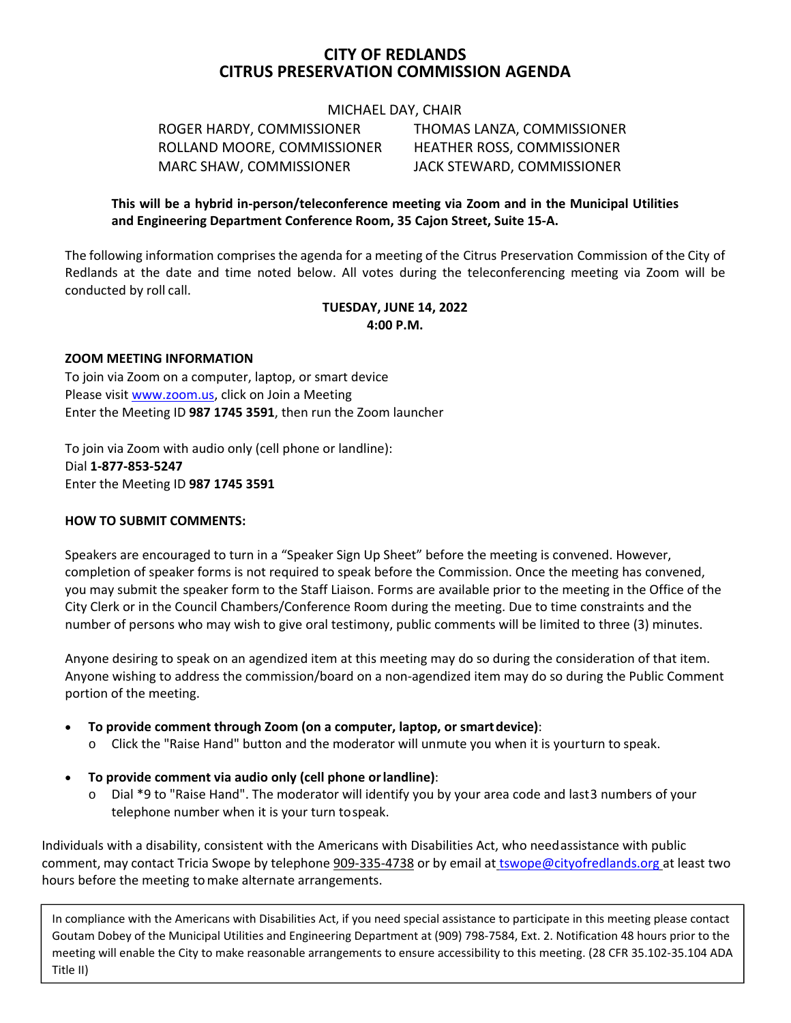# **CITY OF REDLANDS CITRUS PRESERVATION COMMISSION AGENDA**

MICHAEL DAY, CHAIR

 ROGER HARDY, COMMISSIONER THOMAS LANZA, COMMISSIONER ROLLAND MOORE, COMMISSIONER HEATHER ROSS, COMMISSIONER MARC SHAW, COMMISSIONER JACK STEWARD, COMMISSIONER

# **This will be a hybrid in‐person/teleconference meeting via Zoom and in the Municipal Utilities and Engineering Department Conference Room, 35 Cajon Street, Suite 15‐A.**

The following information comprises the agenda for a meeting of the Citrus Preservation Commission of the City of Redlands at the date and time noted below. All votes during the teleconferencing meeting via Zoom will be conducted by roll call.

#### **TUESDAY, JUNE 14, 2022 4:00 P.M.**

#### **ZOOM MEETING INFORMATION**

To join via Zoom on a computer, laptop, or smart device Please visit www.zoom.us, click on Join a Meeting Enter the Meeting ID **987 1745 3591**, then run the Zoom launcher

To join via Zoom with audio only (cell phone or landline): Dial **1‐877‐853‐5247**  Enter the Meeting ID **987 1745 3591** 

#### **HOW TO SUBMIT COMMENTS:**

Speakers are encouraged to turn in a "Speaker Sign Up Sheet" before the meeting is convened. However, completion of speaker forms is not required to speak before the Commission. Once the meeting has convened, you may submit the speaker form to the Staff Liaison. Forms are available prior to the meeting in the Office of the City Clerk or in the Council Chambers/Conference Room during the meeting. Due to time constraints and the number of persons who may wish to give oral testimony, public comments will be limited to three (3) minutes.

Anyone desiring to speak on an agendized item at this meeting may do so during the consideration of that item. Anyone wishing to address the commission/board on a non‐agendized item may do so during the Public Comment portion of the meeting.

- **To provide comment through Zoom (on a computer, laptop, or smart device)**:
	- o Click the "Raise Hand" button and the moderator will unmute you when it is your turn to speak.
- **To provide comment via audio only (cell phone or landline)**:
	- o Dial \*9 to "Raise Hand". The moderator will identify you by your area code and last 3 numbers of your telephone number when it is your turn to speak.

Individuals with a disability, consistent with the Americans with Disabilities Act, who need assistance with public comment, may contact Tricia Swope by telephone 909-335-4738 or by email at tswope@cityofredlands.org at least two hours before the meeting to make alternate arrangements.

In compliance with the Americans with Disabilities Act, if you need special assistance to participate in this meeting please contact Goutam Dobey of the Municipal Utilities and Engineering Department at (909) 798‐7584, Ext. 2. Notification 48 hours prior to the meeting will enable the City to make reasonable arrangements to ensure accessibility to this meeting. (28 CFR 35.102‐35.104 ADA Title II)